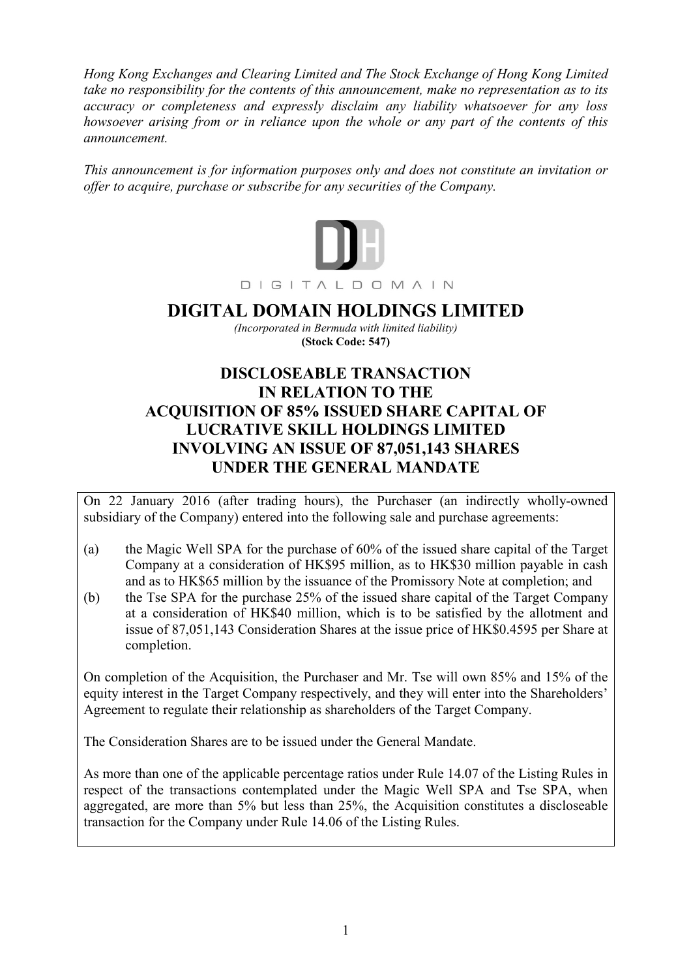Hong Kong Exchanges and Clearing Limited and The Stock Exchange of Hong Kong Limited take no responsibility for the contents of this announcement, make no representation as to its accuracy or completeness and expressly disclaim any liability whatsoever for any loss howsoever arising from or in reliance upon the whole or any part of the contents of this announcement.

This announcement is for information purposes only and does not constitute an invitation or offer to acquire, purchase or subscribe for any securities of the Company.



# DIGITAL DOMAIN HOLDINGS LIMITED

(Incorporated in Bermuda with limited liability) (Stock Code: 547)

## DISCLOSEABLE TRANSACTION IN RELATION TO THE ACQUISITION OF 85% ISSUED SHARE CAPITAL OF LUCRATIVE SKILL HOLDINGS LIMITED INVOLVING AN ISSUE OF 87,051,143 SHARES UNDER THE GENERAL MANDATE

On 22 January 2016 (after trading hours), the Purchaser (an indirectly wholly-owned subsidiary of the Company) entered into the following sale and purchase agreements:

- (a) the Magic Well SPA for the purchase of 60% of the issued share capital of the Target Company at a consideration of HK\$95 million, as to HK\$30 million payable in cash and as to HK\$65 million by the issuance of the Promissory Note at completion; and
- (b) the Tse SPA for the purchase 25% of the issued share capital of the Target Company at a consideration of HK\$40 million, which is to be satisfied by the allotment and issue of 87,051,143 Consideration Shares at the issue price of HK\$0.4595 per Share at completion.

On completion of the Acquisition, the Purchaser and Mr. Tse will own 85% and 15% of the equity interest in the Target Company respectively, and they will enter into the Shareholders' Agreement to regulate their relationship as shareholders of the Target Company.

The Consideration Shares are to be issued under the General Mandate.

As more than one of the applicable percentage ratios under Rule 14.07 of the Listing Rules in respect of the transactions contemplated under the Magic Well SPA and Tse SPA, when aggregated, are more than 5% but less than 25%, the Acquisition constitutes a discloseable transaction for the Company under Rule 14.06 of the Listing Rules.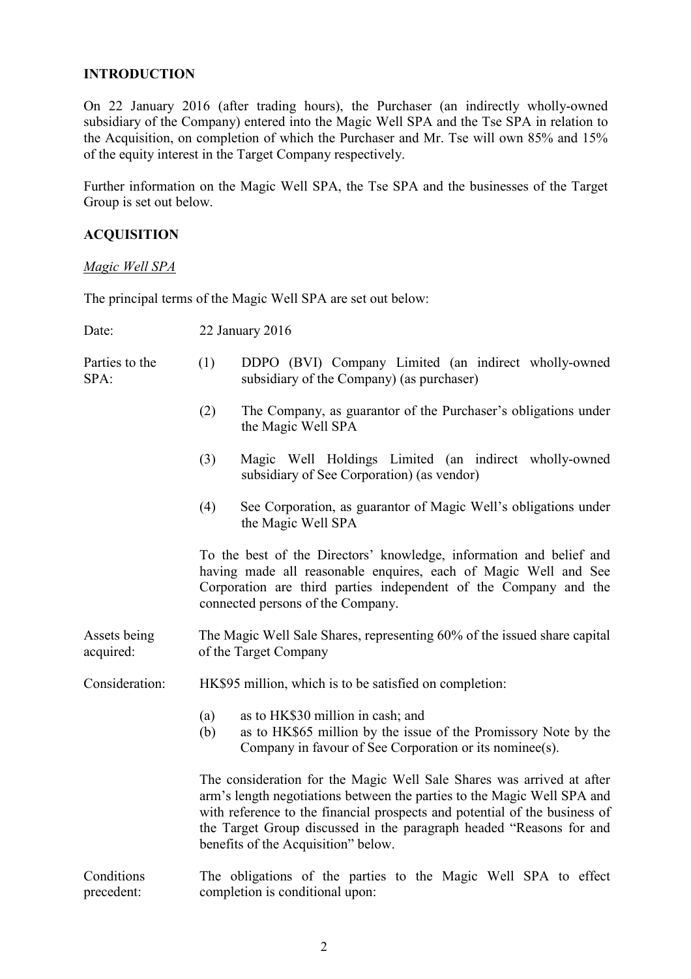#### INTRODUCTION

On 22 January 2016 (after trading hours), the Purchaser (an indirectly wholly-owned subsidiary of the Company) entered into the Magic Well SPA and the Tse SPA in relation to the Acquisition, on completion of which the Purchaser and Mr. Tse will own 85% and 15% of the equity interest in the Target Company respectively.

Further information on the Magic Well SPA, the Tse SPA and the businesses of the Target Group is set out below.

#### ACQUISITION

Magic Well SPA

The principal terms of the Magic Well SPA are set out below:

| Date:                     | 22 January 2016                                         |                                                                                                                                                                                                                                                                                                                                              |
|---------------------------|---------------------------------------------------------|----------------------------------------------------------------------------------------------------------------------------------------------------------------------------------------------------------------------------------------------------------------------------------------------------------------------------------------------|
| Parties to the<br>SPA:    | (1)                                                     | DDPO (BVI) Company Limited (an indirect wholly-owned<br>subsidiary of the Company) (as purchaser)                                                                                                                                                                                                                                            |
|                           | (2)                                                     | The Company, as guarantor of the Purchaser's obligations under<br>the Magic Well SPA                                                                                                                                                                                                                                                         |
|                           | (3)                                                     | Magic Well Holdings Limited (an indirect wholly-owned<br>subsidiary of See Corporation) (as vendor)                                                                                                                                                                                                                                          |
|                           | (4)                                                     | See Corporation, as guarantor of Magic Well's obligations under<br>the Magic Well SPA                                                                                                                                                                                                                                                        |
|                           |                                                         | To the best of the Directors' knowledge, information and belief and<br>having made all reasonable enquires, each of Magic Well and See<br>Corporation are third parties independent of the Company and the<br>connected persons of the Company.                                                                                              |
| Assets being<br>acquired: |                                                         | The Magic Well Sale Shares, representing 60% of the issued share capital<br>of the Target Company                                                                                                                                                                                                                                            |
| Consideration:            | HK\$95 million, which is to be satisfied on completion: |                                                                                                                                                                                                                                                                                                                                              |
|                           | (a)<br>(b)                                              | as to HK\$30 million in cash; and<br>as to HK\$65 million by the issue of the Promissory Note by the<br>Company in favour of See Corporation or its nominee(s).                                                                                                                                                                              |
|                           |                                                         | The consideration for the Magic Well Sale Shares was arrived at after<br>arm's length negotiations between the parties to the Magic Well SPA and<br>with reference to the financial prospects and potential of the business of<br>the Target Group discussed in the paragraph headed "Reasons for and<br>benefits of the Acquisition" below. |
| Conditions<br>precedent:  |                                                         | The obligations of the parties to the Magic Well SPA to effect<br>completion is conditional upon:                                                                                                                                                                                                                                            |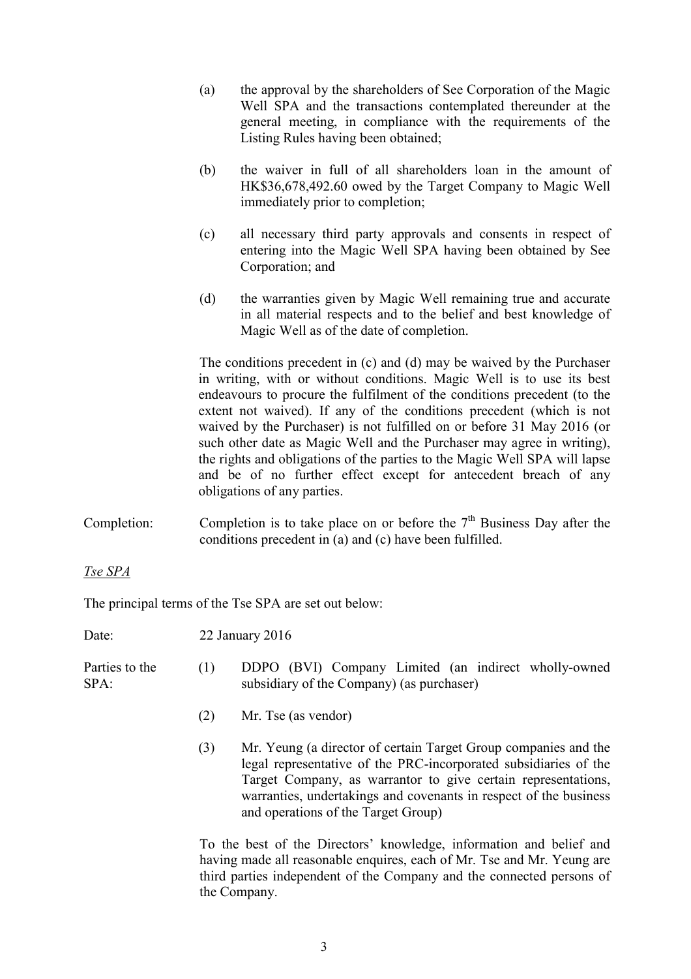- (a) the approval by the shareholders of See Corporation of the Magic Well SPA and the transactions contemplated thereunder at the general meeting, in compliance with the requirements of the Listing Rules having been obtained;
- (b) the waiver in full of all shareholders loan in the amount of HK\$36,678,492.60 owed by the Target Company to Magic Well immediately prior to completion;
- (c) all necessary third party approvals and consents in respect of entering into the Magic Well SPA having been obtained by See Corporation; and
- (d) the warranties given by Magic Well remaining true and accurate in all material respects and to the belief and best knowledge of Magic Well as of the date of completion.

The conditions precedent in (c) and (d) may be waived by the Purchaser in writing, with or without conditions. Magic Well is to use its best endeavours to procure the fulfilment of the conditions precedent (to the extent not waived). If any of the conditions precedent (which is not waived by the Purchaser) is not fulfilled on or before 31 May 2016 (or such other date as Magic Well and the Purchaser may agree in writing), the rights and obligations of the parties to the Magic Well SPA will lapse and be of no further effect except for antecedent breach of any obligations of any parties.

Completion: Completion is to take place on or before the  $7<sup>th</sup>$  Business Day after the conditions precedent in (a) and (c) have been fulfilled.

Tse SPA

The principal terms of the Tse SPA are set out below:

Date: 22 January 2016

| Parties to the<br>$SPA$ : | subsidiary of the Company) (as purchaser) |  |  | DDPO (BVI) Company Limited (an indirect wholly-owned |
|---------------------------|-------------------------------------------|--|--|------------------------------------------------------|
|                           |                                           |  |  |                                                      |

- (2) Mr. Tse (as vendor)
- (3) Mr. Yeung (a director of certain Target Group companies and the legal representative of the PRC-incorporated subsidiaries of the Target Company, as warrantor to give certain representations, warranties, undertakings and covenants in respect of the business and operations of the Target Group)

 To the best of the Directors' knowledge, information and belief and having made all reasonable enquires, each of Mr. Tse and Mr. Yeung are third parties independent of the Company and the connected persons of the Company.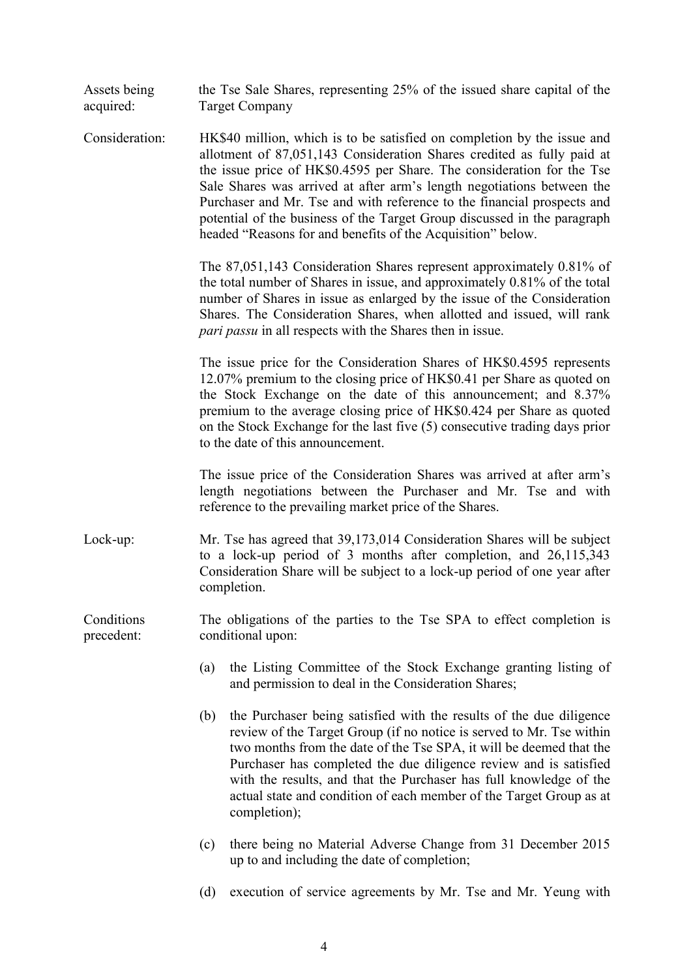| Assets being<br>acquired: | the Tse Sale Shares, representing 25% of the issued share capital of the<br><b>Target Company</b>                                                                                                                                                                                                                                                                                                                                                                                                                           |
|---------------------------|-----------------------------------------------------------------------------------------------------------------------------------------------------------------------------------------------------------------------------------------------------------------------------------------------------------------------------------------------------------------------------------------------------------------------------------------------------------------------------------------------------------------------------|
| Consideration:            | HK\$40 million, which is to be satisfied on completion by the issue and<br>allotment of 87,051,143 Consideration Shares credited as fully paid at<br>the issue price of HK\$0.4595 per Share. The consideration for the Tse<br>Sale Shares was arrived at after arm's length negotiations between the<br>Purchaser and Mr. Tse and with reference to the financial prospects and<br>potential of the business of the Target Group discussed in the paragraph<br>headed "Reasons for and benefits of the Acquisition" below. |
|                           | The 87,051,143 Consideration Shares represent approximately 0.81% of<br>the total number of Shares in issue, and approximately 0.81% of the total<br>number of Shares in issue as enlarged by the issue of the Consideration<br>Shares. The Consideration Shares, when allotted and issued, will rank<br><i>pari passu</i> in all respects with the Shares then in issue.                                                                                                                                                   |
|                           | The issue price for the Consideration Shares of HK\$0.4595 represents<br>12.07% premium to the closing price of HK\$0.41 per Share as quoted on<br>the Stock Exchange on the date of this announcement; and 8.37%<br>premium to the average closing price of HK\$0.424 per Share as quoted<br>on the Stock Exchange for the last five (5) consecutive trading days prior<br>to the date of this announcement.                                                                                                               |
|                           | The issue price of the Consideration Shares was arrived at after arm's<br>length negotiations between the Purchaser and Mr. Tse and with<br>reference to the prevailing market price of the Shares.                                                                                                                                                                                                                                                                                                                         |
| Lock-up:                  | Mr. Tse has agreed that 39,173,014 Consideration Shares will be subject<br>to a lock-up period of 3 months after completion, and 26,115,343<br>Consideration Share will be subject to a lock-up period of one year after<br>completion.                                                                                                                                                                                                                                                                                     |
| Conditions<br>precedent:  | The obligations of the parties to the Tse SPA to effect completion is<br>conditional upon:                                                                                                                                                                                                                                                                                                                                                                                                                                  |
|                           | the Listing Committee of the Stock Exchange granting listing of<br>(a)<br>and permission to deal in the Consideration Shares;                                                                                                                                                                                                                                                                                                                                                                                               |
|                           | the Purchaser being satisfied with the results of the due diligence<br>(b)<br>review of the Target Group (if no notice is served to Mr. Tse within<br>two months from the date of the Tse SPA, it will be deemed that the<br>Purchaser has completed the due diligence review and is satisfied<br>with the results, and that the Purchaser has full knowledge of the<br>actual state and condition of each member of the Target Group as at<br>completion);                                                                 |
|                           | there being no Material Adverse Change from 31 December 2015<br>(c)<br>up to and including the date of completion;                                                                                                                                                                                                                                                                                                                                                                                                          |
|                           | execution of service agreements by Mr. Tse and Mr. Yeung with<br>(d)                                                                                                                                                                                                                                                                                                                                                                                                                                                        |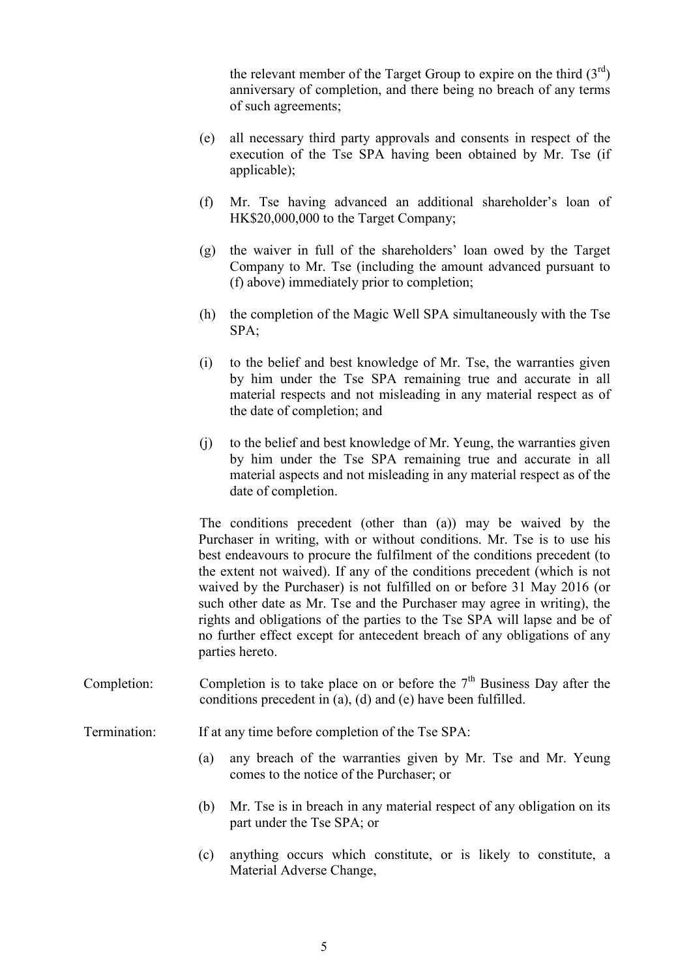the relevant member of the Target Group to expire on the third  $(3<sup>rd</sup>)$ anniversary of completion, and there being no breach of any terms of such agreements;

- (e) all necessary third party approvals and consents in respect of the execution of the Tse SPA having been obtained by Mr. Tse (if applicable);
- (f) Mr. Tse having advanced an additional shareholder's loan of HK\$20,000,000 to the Target Company;
- (g) the waiver in full of the shareholders' loan owed by the Target Company to Mr. Tse (including the amount advanced pursuant to (f) above) immediately prior to completion;
- (h) the completion of the Magic Well SPA simultaneously with the Tse SPA;
- (i) to the belief and best knowledge of Mr. Tse, the warranties given by him under the Tse SPA remaining true and accurate in all material respects and not misleading in any material respect as of the date of completion; and
- (j) to the belief and best knowledge of Mr. Yeung, the warranties given by him under the Tse SPA remaining true and accurate in all material aspects and not misleading in any material respect as of the date of completion.

The conditions precedent (other than (a)) may be waived by the Purchaser in writing, with or without conditions. Mr. Tse is to use his best endeavours to procure the fulfilment of the conditions precedent (to the extent not waived). If any of the conditions precedent (which is not waived by the Purchaser) is not fulfilled on or before 31 May 2016 (or such other date as Mr. Tse and the Purchaser may agree in writing), the rights and obligations of the parties to the Tse SPA will lapse and be of no further effect except for antecedent breach of any obligations of any parties hereto.

Completion: Completion is to take place on or before the  $7<sup>th</sup>$  Business Day after the conditions precedent in (a), (d) and (e) have been fulfilled.

Termination: If at any time before completion of the Tse SPA:

- (a) any breach of the warranties given by Mr. Tse and Mr. Yeung comes to the notice of the Purchaser; or
- (b) Mr. Tse is in breach in any material respect of any obligation on its part under the Tse SPA; or
- (c) anything occurs which constitute, or is likely to constitute, a Material Adverse Change,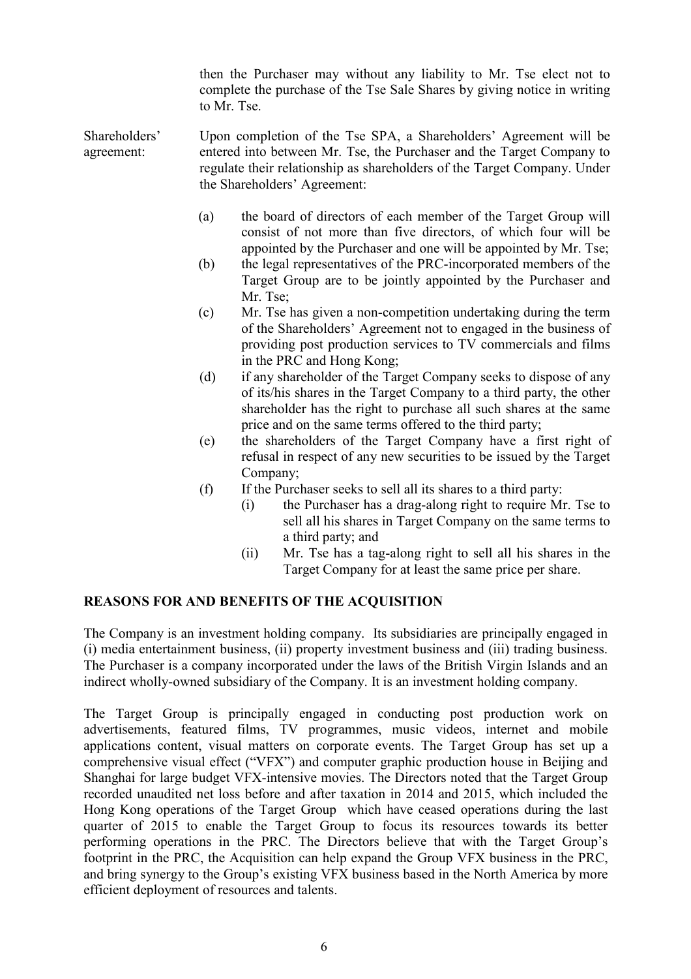then the Purchaser may without any liability to Mr. Tse elect not to complete the purchase of the Tse Sale Shares by giving notice in writing to Mr. Tse.

Shareholders' agreement: Upon completion of the Tse SPA, a Shareholders' Agreement will be entered into between Mr. Tse, the Purchaser and the Target Company to regulate their relationship as shareholders of the Target Company. Under the Shareholders' Agreement:

- (a) the board of directors of each member of the Target Group will consist of not more than five directors, of which four will be appointed by the Purchaser and one will be appointed by Mr. Tse;
- (b) the legal representatives of the PRC-incorporated members of the Target Group are to be jointly appointed by the Purchaser and Mr. Tse;
- (c) Mr. Tse has given a non-competition undertaking during the term of the Shareholders' Agreement not to engaged in the business of providing post production services to TV commercials and films in the PRC and Hong Kong;
- (d) if any shareholder of the Target Company seeks to dispose of any of its/his shares in the Target Company to a third party, the other shareholder has the right to purchase all such shares at the same price and on the same terms offered to the third party;
- (e) the shareholders of the Target Company have a first right of refusal in respect of any new securities to be issued by the Target Company;
- (f) If the Purchaser seeks to sell all its shares to a third party:
	- (i) the Purchaser has a drag-along right to require Mr. Tse to sell all his shares in Target Company on the same terms to a third party; and
	- (ii) Mr. Tse has a tag-along right to sell all his shares in the Target Company for at least the same price per share.

#### REASONS FOR AND BENEFITS OF THE ACQUISITION

The Company is an investment holding company. Its subsidiaries are principally engaged in (i) media entertainment business, (ii) property investment business and (iii) trading business. The Purchaser is a company incorporated under the laws of the British Virgin Islands and an indirect wholly-owned subsidiary of the Company. It is an investment holding company.

The Target Group is principally engaged in conducting post production work on advertisements, featured films, TV programmes, music videos, internet and mobile applications content, visual matters on corporate events. The Target Group has set up a comprehensive visual effect ("VFX") and computer graphic production house in Beijing and Shanghai for large budget VFX-intensive movies. The Directors noted that the Target Group recorded unaudited net loss before and after taxation in 2014 and 2015, which included the Hong Kong operations of the Target Group which have ceased operations during the last quarter of 2015 to enable the Target Group to focus its resources towards its better performing operations in the PRC. The Directors believe that with the Target Group's footprint in the PRC, the Acquisition can help expand the Group VFX business in the PRC, and bring synergy to the Group's existing VFX business based in the North America by more efficient deployment of resources and talents.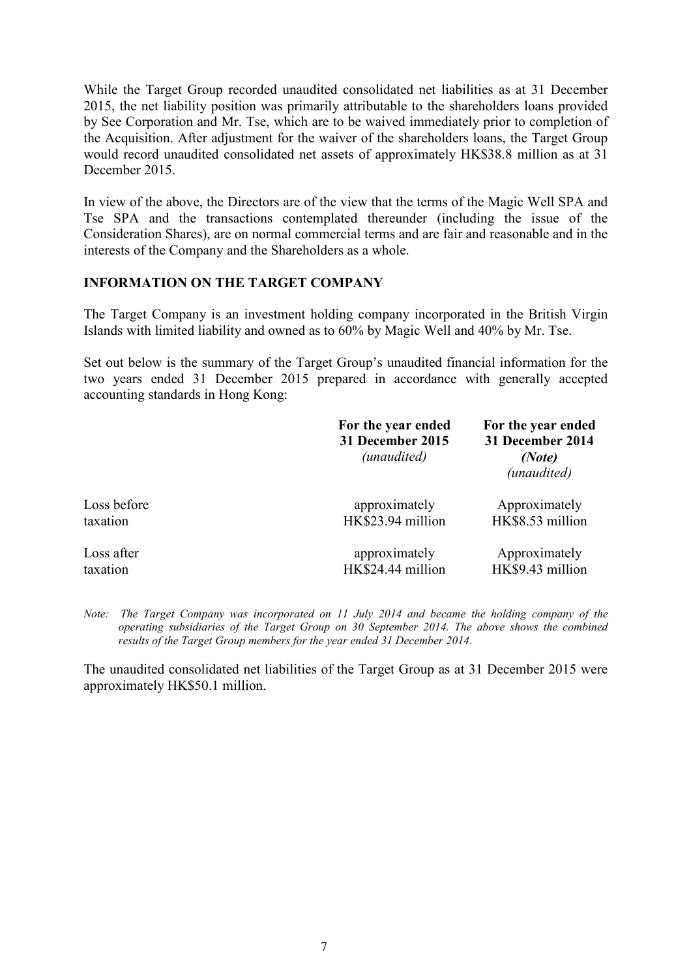While the Target Group recorded unaudited consolidated net liabilities as at 31 December 2015, the net liability position was primarily attributable to the shareholders loans provided by See Corporation and Mr. Tse, which are to be waived immediately prior to completion of the Acquisition. After adjustment for the waiver of the shareholders loans, the Target Group would record unaudited consolidated net assets of approximately HK\$38.8 million as at 31 December 2015.

In view of the above, the Directors are of the view that the terms of the Magic Well SPA and Tse SPA and the transactions contemplated thereunder (including the issue of the Consideration Shares), are on normal commercial terms and are fair and reasonable and in the interests of the Company and the Shareholders as a whole.

### INFORMATION ON THE TARGET COMPANY

The Target Company is an investment holding company incorporated in the British Virgin Islands with limited liability and owned as to 60% by Magic Well and 40% by Mr. Tse.

Set out below is the summary of the Target Group's unaudited financial information for the two years ended 31 December 2015 prepared in accordance with generally accepted accounting standards in Hong Kong:

|             | For the year ended<br>31 December 2015<br>(unaudited) | For the year ended<br>31 December 2014<br>(Note)<br>(unaudited) |
|-------------|-------------------------------------------------------|-----------------------------------------------------------------|
| Loss before | approximately                                         | Approximately                                                   |
| taxation    | HK\$23.94 million                                     | HK\$8.53 million                                                |
| Loss after  | approximately                                         | Approximately                                                   |
| taxation    | HK\$24.44 million                                     | HK\$9.43 million                                                |

Note: The Target Company was incorporated on 11 July 2014 and became the holding company of the operating subsidiaries of the Target Group on 30 September 2014. The above shows the combined results of the Target Group members for the year ended 31 December 2014.

The unaudited consolidated net liabilities of the Target Group as at 31 December 2015 were approximately HK\$50.1 million.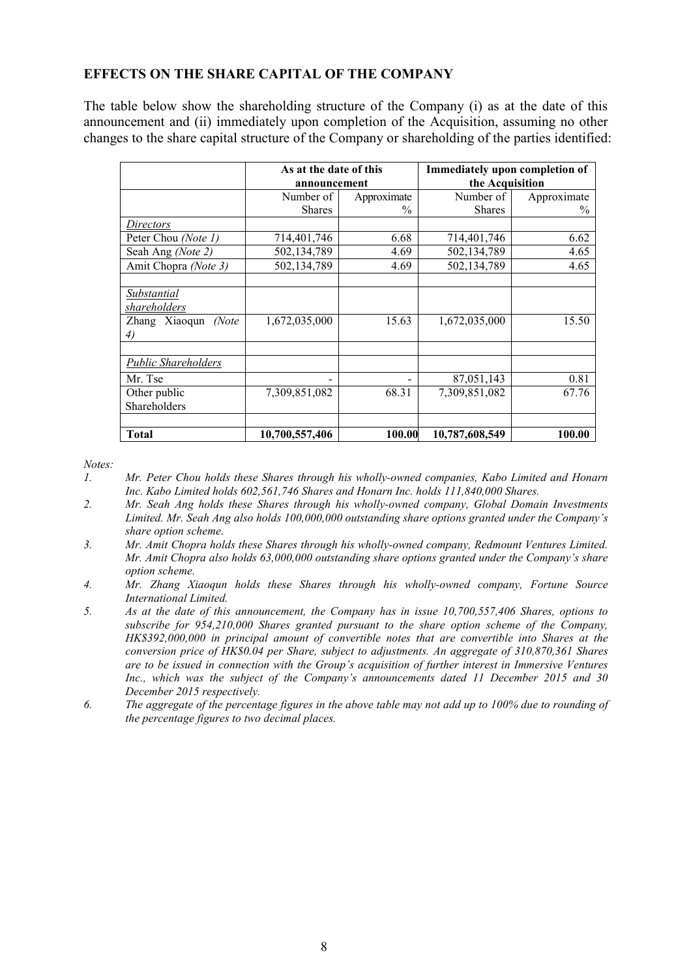### EFFECTS ON THE SHARE CAPITAL OF THE COMPANY

The table below show the shareholding structure of the Company (i) as at the date of this announcement and (ii) immediately upon completion of the Acquisition, assuming no other changes to the share capital structure of the Company or shareholding of the parties identified:

|                            | As at the date of this |               | Immediately upon completion of |             |  |
|----------------------------|------------------------|---------------|--------------------------------|-------------|--|
|                            | announcement           |               | the Acquisition                |             |  |
|                            | Number of              | Approximate   | Number of                      | Approximate |  |
|                            | <b>Shares</b>          | $\frac{0}{0}$ | <b>Shares</b>                  | $\%$        |  |
| Directors                  |                        |               |                                |             |  |
| Peter Chou (Note 1)        | 714,401,746            | 6.68          | 714,401,746                    | 6.62        |  |
| Seah Ang (Note 2)          | 502,134,789            | 4.69          | 502,134,789                    | 4.65        |  |
| Amit Chopra (Note 3)       | 502,134,789            | 4.69          | 502,134,789                    | 4.65        |  |
|                            |                        |               |                                |             |  |
| Substantial                |                        |               |                                |             |  |
| shareholders               |                        |               |                                |             |  |
| Zhang Xiaoqun<br>(Note     | 1,672,035,000          | 15.63         | 1,672,035,000                  | 15.50       |  |
| 4)                         |                        |               |                                |             |  |
|                            |                        |               |                                |             |  |
| <b>Public Shareholders</b> |                        |               |                                |             |  |
| Mr. Tse                    |                        | -             | 87,051,143                     | 0.81        |  |
| Other public               | 7,309,851,082          | 68.31         | 7,309,851,082                  | 67.76       |  |
| Shareholders               |                        |               |                                |             |  |
|                            |                        |               |                                |             |  |
| Total                      | 10,700,557,406         | 100.00        | 10,787,608,549                 | 100.00      |  |

Notes:<br>1

- 1. Mr. Peter Chou holds these Shares through his wholly-owned companies, Kabo Limited and Honarn Inc. Kabo Limited holds 602,561,746 Shares and Honarn Inc. holds 111,840,000 Shares.
- 2. Mr. Seah Ang holds these Shares through his wholly-owned company, Global Domain Investments Limited. Mr. Seah Ang also holds 100,000,000 outstanding share options granted under the Company's share option scheme.
- 3. Mr. Amit Chopra holds these Shares through his wholly-owned company, Redmount Ventures Limited. Mr. Amit Chopra also holds 63,000,000 outstanding share options granted under the Company's share option scheme.
- 4. Mr. Zhang Xiaoqun holds these Shares through his wholly-owned company, Fortune Source International Limited.
- 5. As at the date of this announcement, the Company has in issue 10,700,557,406 Shares, options to subscribe for 954,210,000 Shares granted pursuant to the share option scheme of the Company, HK\$392,000,000 in principal amount of convertible notes that are convertible into Shares at the conversion price of HK\$0.04 per Share, subject to adjustments. An aggregate of 310,870,361 Shares are to be issued in connection with the Group's acquisition of further interest in Immersive Ventures Inc., which was the subject of the Company's announcements dated 11 December 2015 and 30 December 2015 respectively.
- 6. The aggregate of the percentage figures in the above table may not add up to 100% due to rounding of the percentage figures to two decimal places.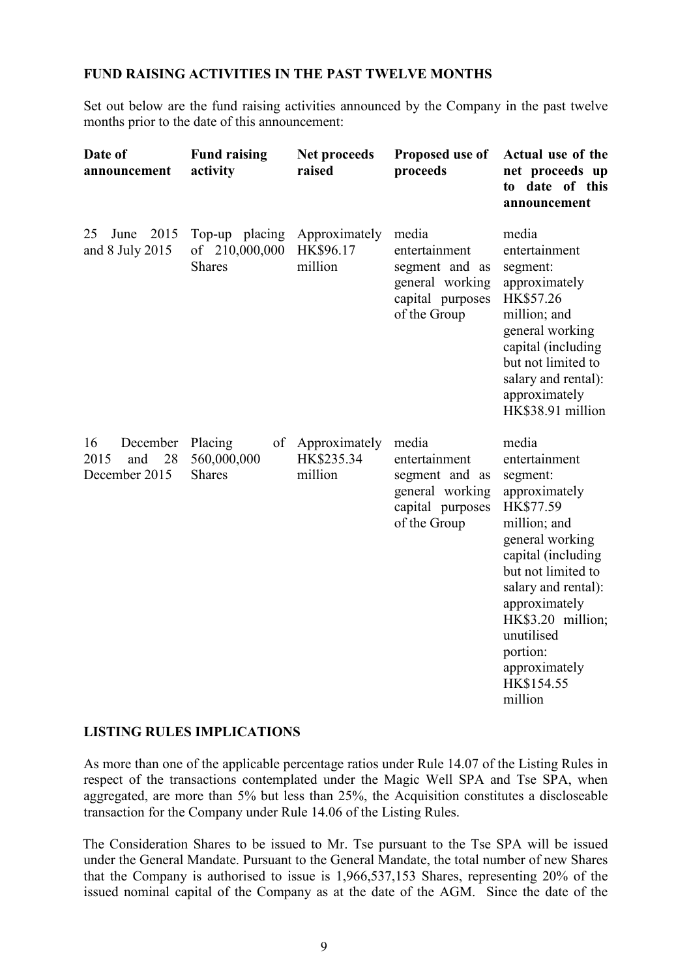### FUND RAISING ACTIVITIES IN THE PAST TWELVE MONTHS

Set out below are the fund raising activities announced by the Company in the past twelve months prior to the date of this announcement:

| Date of<br><b>Fund raising</b><br>activity<br>announcement |                                                   | Net proceeds<br>raised                 | Proposed use of<br>proceeds                                                                     | Actual use of the<br>net proceeds up<br>to date of this<br>announcement                                                                                                                                                                                                          |
|------------------------------------------------------------|---------------------------------------------------|----------------------------------------|-------------------------------------------------------------------------------------------------|----------------------------------------------------------------------------------------------------------------------------------------------------------------------------------------------------------------------------------------------------------------------------------|
| 2015<br>25<br>June<br>and 8 July 2015                      | Top-up placing<br>of 210,000,000<br><b>Shares</b> | Approximately<br>HK\$96.17<br>million  | media<br>entertainment<br>segment and as<br>general working<br>capital purposes<br>of the Group | media<br>entertainment<br>segment:<br>approximately<br>HK\$57.26<br>million; and<br>general working<br>capital (including<br>but not limited to<br>salary and rental):<br>approximately<br>HK\$38.91 million                                                                     |
| 16<br>December<br>28<br>2015<br>and<br>December 2015       | Placing<br>of<br>560,000,000<br><b>Shares</b>     | Approximately<br>HK\$235.34<br>million | media<br>entertainment<br>segment and as<br>general working<br>capital purposes<br>of the Group | media<br>entertainment<br>segment:<br>approximately<br>HK\$77.59<br>million; and<br>general working<br>capital (including<br>but not limited to<br>salary and rental):<br>approximately<br>HK\$3.20 million;<br>unutilised<br>portion:<br>approximately<br>HK\$154.55<br>million |

#### LISTING RULES IMPLICATIONS

As more than one of the applicable percentage ratios under Rule 14.07 of the Listing Rules in respect of the transactions contemplated under the Magic Well SPA and Tse SPA, when aggregated, are more than 5% but less than 25%, the Acquisition constitutes a discloseable transaction for the Company under Rule 14.06 of the Listing Rules.

The Consideration Shares to be issued to Mr. Tse pursuant to the Tse SPA will be issued under the General Mandate. Pursuant to the General Mandate, the total number of new Shares that the Company is authorised to issue is 1,966,537,153 Shares, representing 20% of the issued nominal capital of the Company as at the date of the AGM. Since the date of the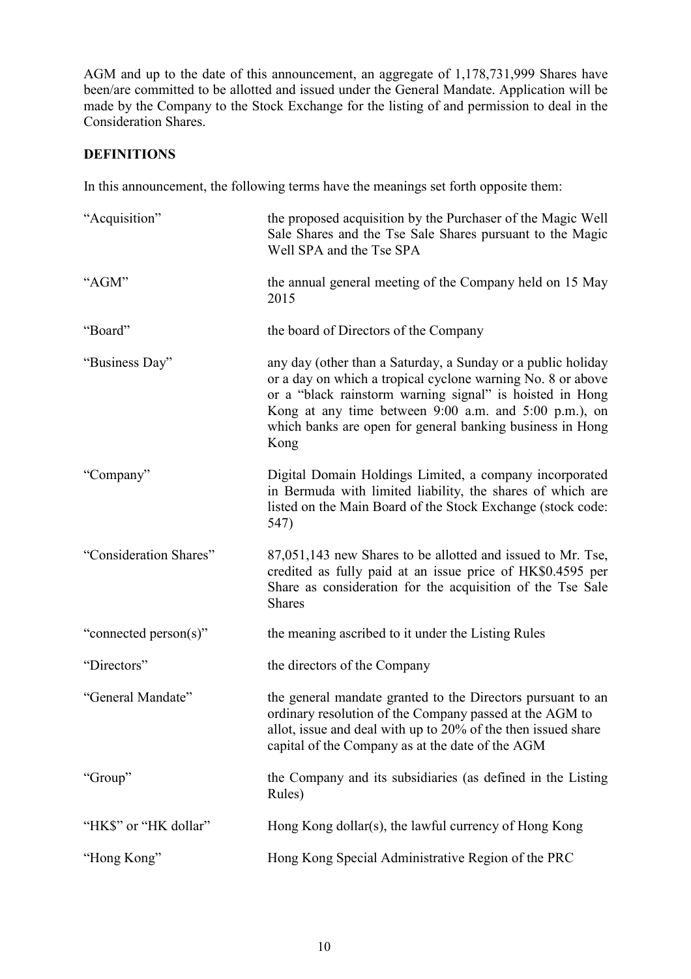AGM and up to the date of this announcement, an aggregate of 1,178,731,999 Shares have been/are committed to be allotted and issued under the General Mandate. Application will be made by the Company to the Stock Exchange for the listing of and permission to deal in the Consideration Shares.

## DEFINITIONS

In this announcement, the following terms have the meanings set forth opposite them:

| "Acquisition"          | the proposed acquisition by the Purchaser of the Magic Well<br>Sale Shares and the Tse Sale Shares pursuant to the Magic<br>Well SPA and the Tse SPA                                                                                                                                                                  |
|------------------------|-----------------------------------------------------------------------------------------------------------------------------------------------------------------------------------------------------------------------------------------------------------------------------------------------------------------------|
| "AGM"                  | the annual general meeting of the Company held on 15 May<br>2015                                                                                                                                                                                                                                                      |
| "Board"                | the board of Directors of the Company                                                                                                                                                                                                                                                                                 |
| "Business Day"         | any day (other than a Saturday, a Sunday or a public holiday<br>or a day on which a tropical cyclone warning No. 8 or above<br>or a "black rainstorm warning signal" is hoisted in Hong<br>Kong at any time between 9:00 a.m. and 5:00 p.m.), on<br>which banks are open for general banking business in Hong<br>Kong |
| "Company"              | Digital Domain Holdings Limited, a company incorporated<br>in Bermuda with limited liability, the shares of which are<br>listed on the Main Board of the Stock Exchange (stock code:<br>547)                                                                                                                          |
| "Consideration Shares" | 87,051,143 new Shares to be allotted and issued to Mr. Tse,<br>credited as fully paid at an issue price of HK\$0.4595 per<br>Share as consideration for the acquisition of the Tse Sale<br><b>Shares</b>                                                                                                              |
| "connected person(s)"  | the meaning ascribed to it under the Listing Rules                                                                                                                                                                                                                                                                    |
| "Directors"            | the directors of the Company                                                                                                                                                                                                                                                                                          |
| "General Mandate"      | the general mandate granted to the Directors pursuant to an<br>ordinary resolution of the Company passed at the AGM to<br>allot, issue and deal with up to 20% of the then issued share<br>capital of the Company as at the date of the AGM                                                                           |
| "Group"                | the Company and its subsidiaries (as defined in the Listing<br>Rules)                                                                                                                                                                                                                                                 |
| "HK\$" or "HK dollar"  | Hong Kong dollar(s), the lawful currency of Hong Kong                                                                                                                                                                                                                                                                 |
| "Hong Kong"            | Hong Kong Special Administrative Region of the PRC                                                                                                                                                                                                                                                                    |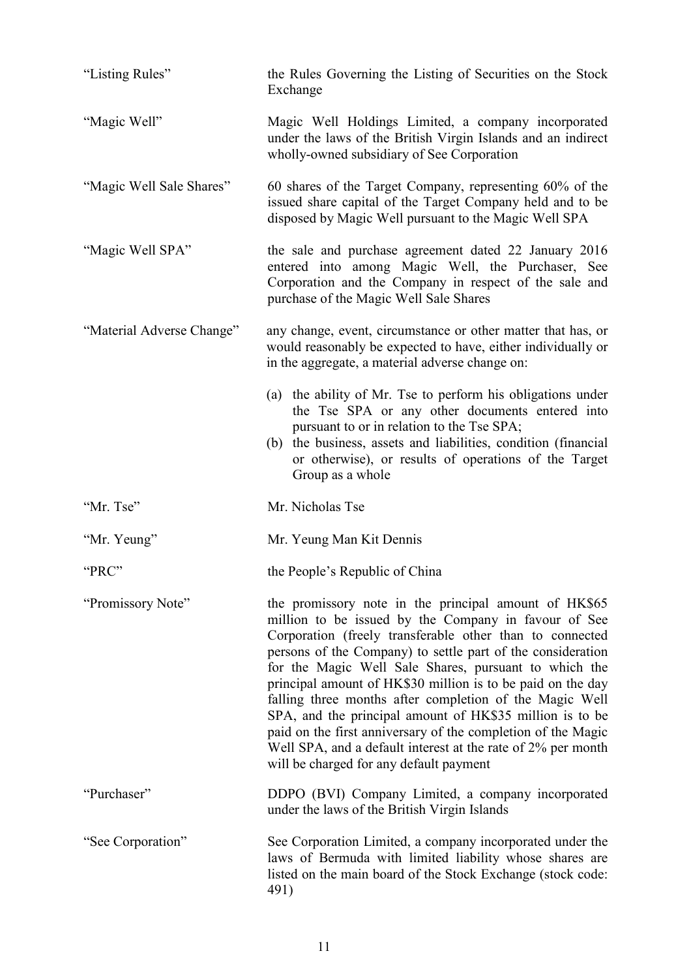| "Listing Rules"           | the Rules Governing the Listing of Securities on the Stock<br>Exchange                                                                                                                                                                                                                                                                                                                                                                                                                                                                                                                                                                                             |
|---------------------------|--------------------------------------------------------------------------------------------------------------------------------------------------------------------------------------------------------------------------------------------------------------------------------------------------------------------------------------------------------------------------------------------------------------------------------------------------------------------------------------------------------------------------------------------------------------------------------------------------------------------------------------------------------------------|
| "Magic Well"              | Magic Well Holdings Limited, a company incorporated<br>under the laws of the British Virgin Islands and an indirect<br>wholly-owned subsidiary of See Corporation                                                                                                                                                                                                                                                                                                                                                                                                                                                                                                  |
| "Magic Well Sale Shares"  | 60 shares of the Target Company, representing 60% of the<br>issued share capital of the Target Company held and to be<br>disposed by Magic Well pursuant to the Magic Well SPA                                                                                                                                                                                                                                                                                                                                                                                                                                                                                     |
| "Magic Well SPA"          | the sale and purchase agreement dated 22 January 2016<br>entered into among Magic Well, the Purchaser, See<br>Corporation and the Company in respect of the sale and<br>purchase of the Magic Well Sale Shares                                                                                                                                                                                                                                                                                                                                                                                                                                                     |
| "Material Adverse Change" | any change, event, circumstance or other matter that has, or<br>would reasonably be expected to have, either individually or<br>in the aggregate, a material adverse change on:                                                                                                                                                                                                                                                                                                                                                                                                                                                                                    |
|                           | (a) the ability of Mr. Tse to perform his obligations under<br>the Tse SPA or any other documents entered into<br>pursuant to or in relation to the Tse SPA;<br>the business, assets and liabilities, condition (financial)<br>(b)<br>or otherwise), or results of operations of the Target<br>Group as a whole                                                                                                                                                                                                                                                                                                                                                    |
| "Mr. Tse"                 | Mr. Nicholas Tse                                                                                                                                                                                                                                                                                                                                                                                                                                                                                                                                                                                                                                                   |
| "Mr. Yeung"               | Mr. Yeung Man Kit Dennis                                                                                                                                                                                                                                                                                                                                                                                                                                                                                                                                                                                                                                           |
| "PRC"                     | the People's Republic of China                                                                                                                                                                                                                                                                                                                                                                                                                                                                                                                                                                                                                                     |
| "Promissory Note"         | the promissory note in the principal amount of HK\$65<br>million to be issued by the Company in favour of See<br>Corporation (freely transferable other than to connected<br>persons of the Company) to settle part of the consideration<br>for the Magic Well Sale Shares, pursuant to which the<br>principal amount of HK\$30 million is to be paid on the day<br>falling three months after completion of the Magic Well<br>SPA, and the principal amount of HK\$35 million is to be<br>paid on the first anniversary of the completion of the Magic<br>Well SPA, and a default interest at the rate of 2% per month<br>will be charged for any default payment |
| "Purchaser"               | DDPO (BVI) Company Limited, a company incorporated<br>under the laws of the British Virgin Islands                                                                                                                                                                                                                                                                                                                                                                                                                                                                                                                                                                 |
| "See Corporation"         | See Corporation Limited, a company incorporated under the<br>laws of Bermuda with limited liability whose shares are<br>listed on the main board of the Stock Exchange (stock code:<br>491)                                                                                                                                                                                                                                                                                                                                                                                                                                                                        |